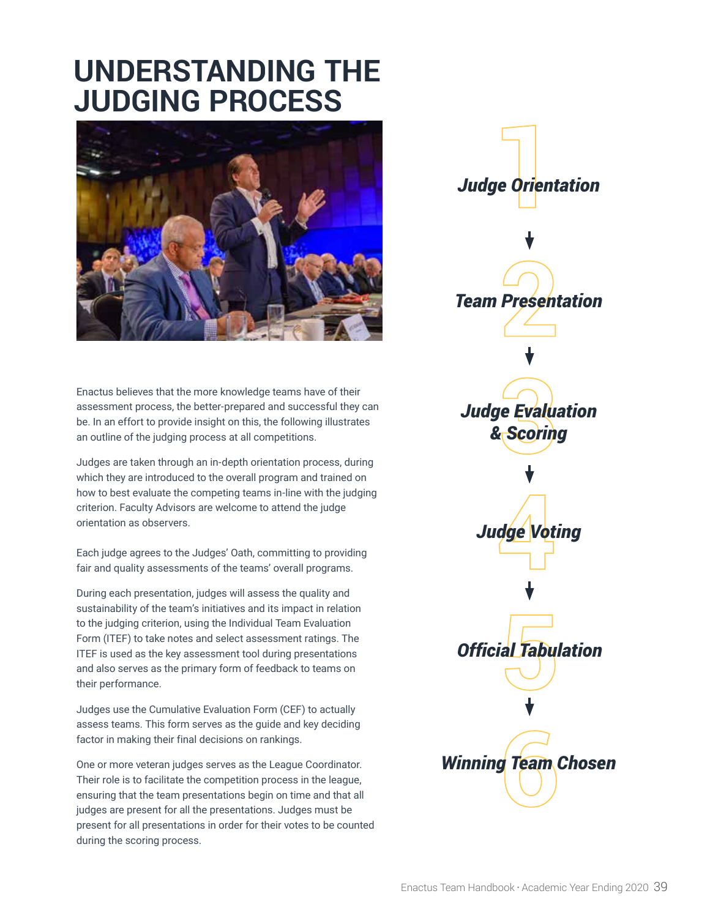# **UNDERSTANDING THE JUDGING PROCESS**



Enactus believes that the more knowledge teams have of their assessment process, the better-prepared and successful they can be. In an effort to provide insight on this, the following illustrates an outline of the judging process at all competitions.

Judges are taken through an in-depth orientation process, during which they are introduced to the overall program and trained on how to best evaluate the competing teams in-line with the judging criterion. Faculty Advisors are welcome to attend the judge orientation as observers.

Each judge agrees to the Judges' Oath, committing to providing fair and quality assessments of the teams' overall programs.

During each presentation, judges will assess the quality and sustainability of the team's initiatives and its impact in relation to the judging criterion, using the Individual Team Evaluation Form (ITEF) to take notes and select assessment ratings. The ITEF is used as the key assessment tool during presentations and also serves as the primary form of feedback to teams on their performance.

Judges use the Cumulative Evaluation Form (CEF) to actually assess teams. This form serves as the guide and key deciding factor in making their final decisions on rankings.

One or more veteran judges serves as the League Coordinator. Their role is to facilitate the competition process in the league, ensuring that the team presentations begin on time and that all judges are present for all the presentations. Judges must be present for all presentations in order for their votes to be counted during the scoring process.